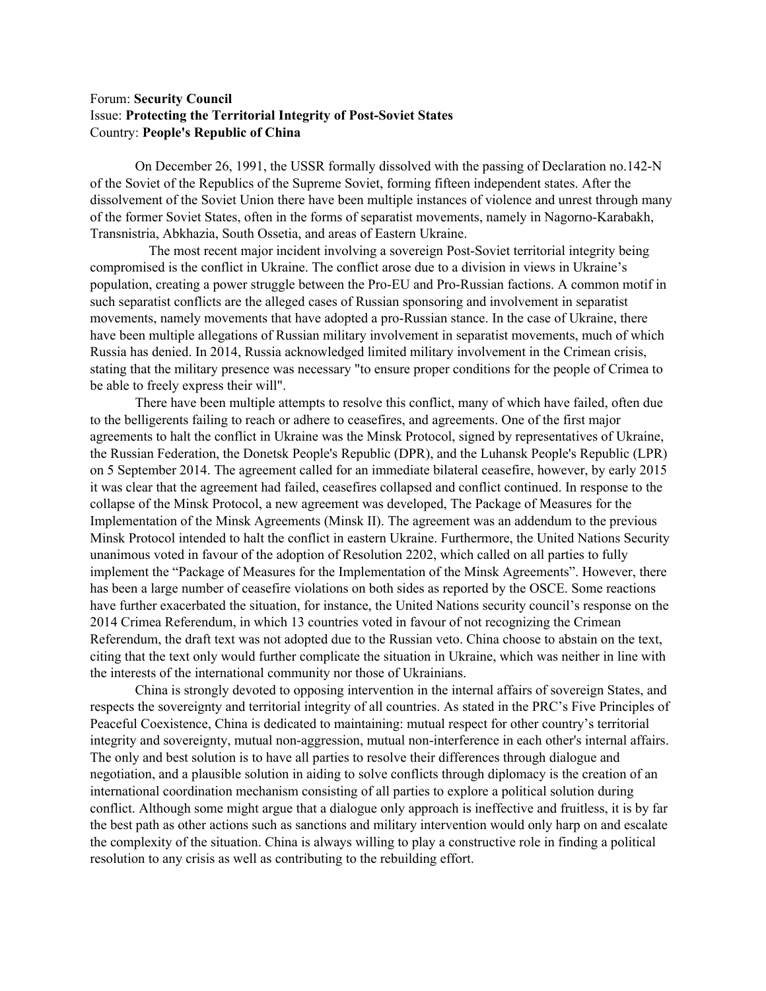## Forum: **Security Council** Issue: **Protecting the Territorial Integrity of Post-Soviet States** Country: **People's Republic of China**

On December 26, 1991, the USSR formally dissolved with the passing of Declaration no.142-N of the Soviet of the Republics of the Supreme Soviet, forming fifteen independent states. After the dissolvement of the Soviet Union there have been multiple instances of violence and unrest through many of the former Soviet States, often in the forms of separatist movements, namely in Nagorno-Karabakh, Transnistria, Abkhazia, South Ossetia, and areas of Eastern Ukraine.

The most recent major incident involving a sovereign Post-Soviet territorial integrity being compromised is the conflict in Ukraine. The conflict arose due to a division in views in Ukraine's population, creating a power struggle between the Pro-EU and Pro-Russian factions. A common motif in such separatist conflicts are the alleged cases of Russian sponsoring and involvement in separatist movements, namely movements that have adopted a pro-Russian stance. In the case of Ukraine, there have been multiple allegations of Russian military involvement in separatist movements, much of which Russia has denied. In 2014, Russia acknowledged limited military involvement in the Crimean crisis, stating that the military presence was necessary "to ensure proper conditions for the people of Crimea to be able to freely express their will".

There have been multiple attempts to resolve this conflict, many of which have failed, often due to the belligerents failing to reach or adhere to ceasefires, and agreements. One of the first major agreements to halt the conflict in Ukraine was the Minsk Protocol, signed by representatives of Ukraine, the Russian Federation, the Donetsk People's Republic (DPR), and the Luhansk People's Republic (LPR) on 5 September 2014. The agreement called for an immediate bilateral ceasefire, however, by early 2015 it was clear that the agreement had failed, ceasefires collapsed and conflict continued. In response to the collapse of the Minsk Protocol, a new agreement was developed, The Package of Measures for the Implementation of the Minsk Agreements (Minsk II). The agreement was an addendum to the previous Minsk Protocol intended to halt the conflict in eastern Ukraine. Furthermore, the United Nations Security unanimous voted in favour of the adoption of Resolution 2202, which called on all parties to fully implement the "Package of Measures for the Implementation of the Minsk Agreements". However, there has been a large number of ceasefire violations on both sides as reported by the OSCE. Some reactions have further exacerbated the situation, for instance, the United Nations security council's response on the 2014 Crimea Referendum, in which 13 countries voted in favour of not recognizing the Crimean Referendum, the draft text was not adopted due to the Russian veto. China choose to abstain on the text, citing that the text only would further complicate the situation in Ukraine, which was neither in line with the interests of the international community nor those of Ukrainians.

China is strongly devoted to opposing intervention in the internal affairs of sovereign States, and respects the sovereignty and territorial integrity of all countries. As stated in the PRC's Five Principles of Peaceful Coexistence, China is dedicated to maintaining: mutual respect for other country's territorial integrity and sovereignty, mutual non-aggression, mutual non-interference in each other's internal affairs. The only and best solution is to have all parties to resolve their differences through dialogue and negotiation, and a plausible solution in aiding to solve conflicts through diplomacy is the creation of an international coordination mechanism consisting of all parties to explore a political solution during conflict. Although some might argue that a dialogue only approach is ineffective and fruitless, it is by far the best path as other actions such as sanctions and military intervention would only harp on and escalate the complexity of the situation. China is always willing to play a constructive role in finding a political resolution to any crisis as well as contributing to the rebuilding effort.